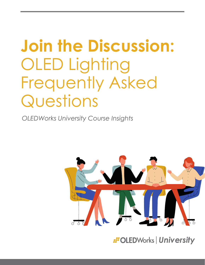# **Join the Discussion:** OLED Lighting Frequently Asked Questions

*OLEDWorks University Course Insights*



*II* OLEDWorks | University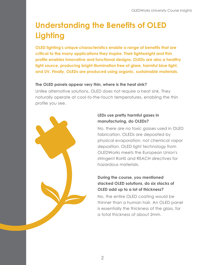# **Understanding the Benefits of OLED Lighting**

**OLED lighting's unique characteristics enable a range of benefits that are critical to the many applications they inspire. Their lightweight and thin profile enables innovative and functional designs. OLEDs are also a healthy light source, producing bright illumination free of glare, harmful blue light, and UV. Finally, OLEDs are produced using organic, sustainable materials.**

#### **The OLED panels appear very thin, where is the heat sink?**

Unlike alternative solutions, OLED does not require a heat sink. They naturally operate at cool-to-the-touch temperatures, enabling the thin profile you see.



# **LEDs use pretty harmful gases in manufacturing, do OLEDs?**

No, there are no toxic gasses used in OLED fabrication. OLEDs are deposited by physical evaporation, not chemical vapor deposition. OLED light technology from OLEDWorks meets the European Union's stringent RoHS and REACH directives for hazardous materials.

# **During the course, you mentioned stacked OLED solutions, do six stacks of OLED add up to a lot of thickness?**

No, the entire OLED coating would be thinner than a human hair. An OLED panel is essentially the thickness of the glass, for a total thickness of about 2mm.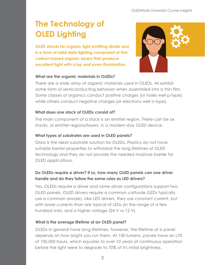# **The Technology of OLED Lighting**

**OLED stands for organic light emitting diode and is a form of solid state lighting composed of thin carbon-based organic layers that produce excellent light with crisp and even illumination.**



#### **What are the organic materials in OLEDs?**

There are a wide array of organic materials used in OLEDs. All exhibit some form of semiconducting behavior when assembled into a thin film. Some classes of organics conduct positive charges (or holes well p-type) while others conduct negative charges (or electrons well n-type).

#### **What does one stack of OLEDs consist of?**

The main component of a stack is an emitter region. There can be six stacks, or emitter regions/layers, in a modern-day OLED device.

# **What types of substrates are used in OLED panels?**

Glass is the ideal substrate solution for OLEDs. Plastics do not have suitable barrier properties to withstand the long lifetimes of OLED technology and they do not provide the needed moisture barrier for OLED applications.

# **Do OLEDs require a driver? If so, how many OLED panels can one driver handle and do they follow the same rules as LED drivers?**

Yes, OLEDs require a driver and some driver configurations support two OLED panels. OLED drivers require a common cathode (LEDs typically use a common anode). Like LED drivers, they use constant current, but with lower currents than are typical of LEDs (in the range of a few hundred mA), and a higher voltage (24 V vs 12 V).

# **What is the average lifetime of an OLED panel?**

OLEDs in general have long lifetimes, however, the lifetime of a panel depends on how bright you run them. At 100 lumens, panels have an L70 of 100,000 hours, which equates to over 10 years of continuous operation before the light were to degrade to 70% of it's initial brightness.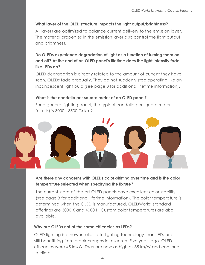# **What layer of the OLED structure impacts the light output/brightness?**

All layers are optimized to balance current delivery to the emission layer. The material properties in the emission layer also control the light output and brightness.

# **Do OLEDs experience degradation of light as a function of turning them on and off? At the end of an OLED panel's lifetime does the light intensity fade like LEDs do?**

OLED degradation is directly related to the amount of current they have seen. OLEDs fade gradually. They do not suddenly stop operating like an incandescent light bulb (see page 3 for additional lifetime information).

#### **What is the candella per square meter of an OLED panel?**

For a general lighting panel, the typical candella per square meter (or nits) is 3000 - 8500 Cd/m2.



# **Are there any concerns with OLEDs color-shifting over time and is the color temperature selected when specifying the fixture?**

The current state-of-the-art OLED panels have excellent color stability (see page 3 for additional lifetime information). The color temperature is determined when the OLED is manufactured. OLEDWorks' standard offerings are 3000 K and 4000 K. Custom color temperatures are also available.

#### **Why are OLEDs not at the same efficacies as LEDs?**

OLED lighting is a newer solid state lighting technology than LED, and is still benefitting from breakthroughs in research. Five years ago, OLED efficacies were 45 lm/W. They are now as high as 85 lm/W and continue to climb.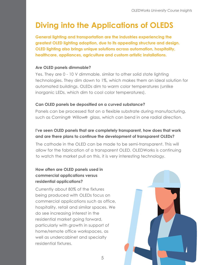# **Diving into the Applications of OLEDS**

**General lighting and transportation are the industries experiencing the greatest OLED lighting adoption, due to its appealing structure and design. OLED lighting also brings unique solutions across automation, hospitality, healthcare, appliances, agriculture and custom artistic installations.**

#### **Are OLED panels dimmable?**

Yes. They are 0 - 10 V dimmable, similar to other solid state lighting technologies. They dim down to 1%, which makes them an ideal solution for automated buildings. OLEDs dim to warm color temperatures (unlike inorganic LEDs, which dim to cool color temperatures).

#### **Can OLED panels be depositied on a curved substance?**

Panels can be processed flat on a flexible substrate during manufacturing, such as Corning<sup>®</sup> Willow® glass, which can bend in one radial direction.

# **I've seen OLED panels that are completely transparent, how does that work and are there plans to continue the development of transparent OLEDs?**

The cathode in the OLED can be made to be semi-transparent. This will allow for the fabrication of a transparent OLED. OLEDWorks is continuing to watch the market pull on this, it is very interesting technology.

# **How often are OLED panels used in commercial applications versus residential applications?**

Currently about 80% of the fixtures being produced with OLEDs focus on commercial applications such as office, hospitality, retail and similar spaces. We do see increasing interest in the residential market going forward, particularly with growth in support of home/remote office workspaces, as well as undercabinet and specialty residential fixtures.

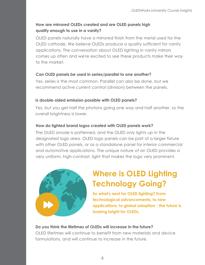# **How are mirrored OLEDs created and are OLED panels high quality enough to use in a vanity?**

OLED panels naturally have a mirrored finish from the metal used for the OLED cathode. We believe OLEDs produce a quality sufficient for vanity applications. The conversation about OLED lighting in vanity mirrors comes up often and we're excited to see these products make their way to the market.

# **Can OLED panels be used in series/parallel to one another?**

Yes, series is the most common. Parallel can also be done, but we recommend active current control (division) between the panels.

# **Is double-sided emission possible with OLED panels?**

Yes, but you get half the photons going one way and half another, so the overall brightness is lower.

# **How do lighted brand logos created with OLED panels work?**

The OLED anode is patterned, and the OLED only lights up in the designated logo area. OLED logo panels can be part of a larger fixture with other OLED panels, or as a standalone panel for interior commercial and automotive applications. The unique nature of an OLED provides a very uniform, high-contrast, light that makes the logo very prominent.



# **Where is OLED Lighting Technology Going?**

**So what's next for OLED lighting? From technological advancements, to new applications, to global adoption - the future is looking bright for OLEDs.**

#### **Do you think the lifetimes of OLEDs will increase in the future?**

OLED lifetimes will continue to benefit from new materials and device formulations, and will continue to increase in the future.